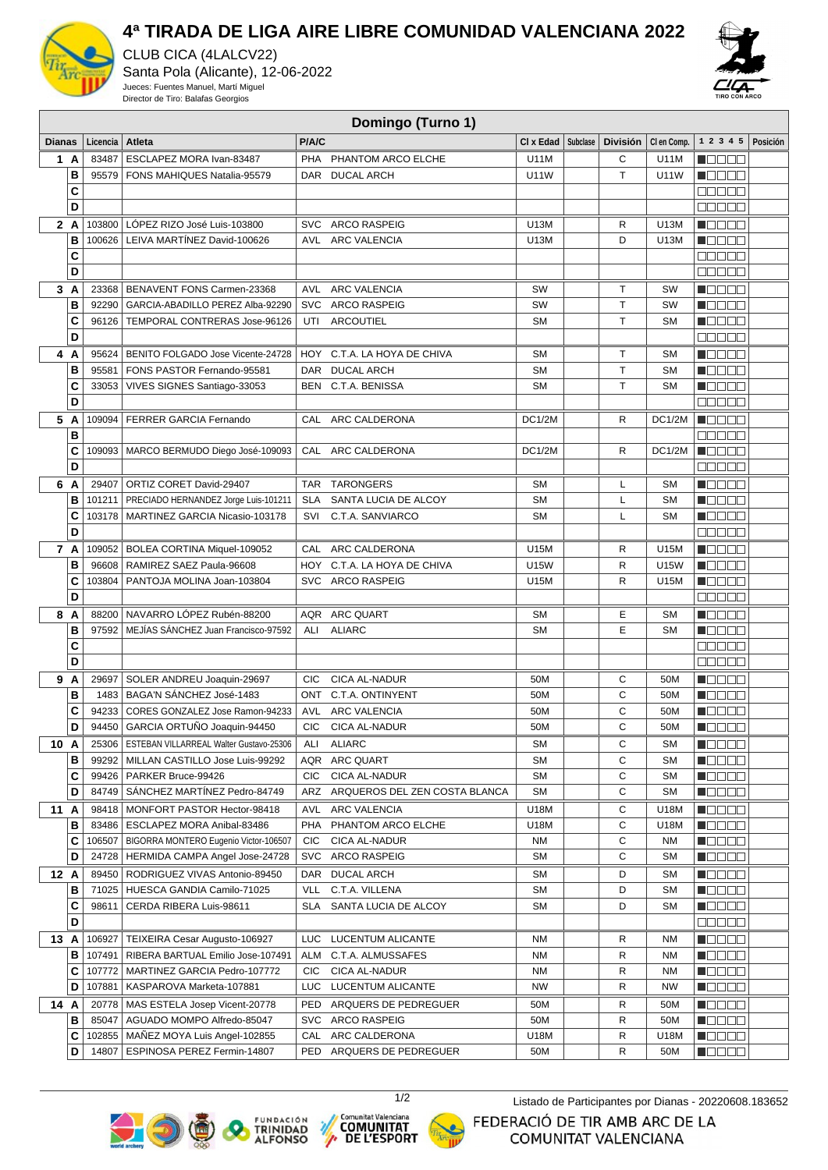

## **4ª TIRADA DE LIGA AIRE LIBRE COMUNIDAD VALENCIANA 2022**

CLUB CICA (4LALCV22) Santa Pola (Alicante), 12-06-2022 Jueces: Fuentes Manuel, Martí Miguel Director de Tiro: Balafas Georgios



## **Domingo (Turno 1)**

| <b>Dianas</b> |        | Licencia | Atleta                                          | P/A/C      |                                   | CI x Edad     | Subclase | <b>División</b> | CI en Comp. | 1 2 3 4 5 Posición                                |  |
|---------------|--------|----------|-------------------------------------------------|------------|-----------------------------------|---------------|----------|-----------------|-------------|---------------------------------------------------|--|
|               | 1 A    | 83487    | ESCLAPEZ MORA Ivan-83487                        |            | PHA PHANTOM ARCO ELCHE            | U11M          |          | С               | U11M        | N O O O O                                         |  |
|               | B      | 95579    | FONS MAHIQUES Natalia-95579                     |            | DAR DUCAL ARCH                    | U11W          |          | $\top$          | U11W        | n Oo Oo                                           |  |
|               | C      |          |                                                 |            |                                   |               |          |                 |             | $\Box$ $\Box$ $\Box$ $\Box$                       |  |
|               | D      |          |                                                 |            |                                   |               |          |                 |             | $\Box$ $\Box$ $\Box$ $\Box$                       |  |
|               | 2A     |          | 103800   LÓPEZ RIZO José Luis-103800            |            | SVC ARCO RASPEIG                  | U13M          |          | R               | U13M        | $\blacksquare$                                    |  |
|               | B      |          | 100626   LEIVA MARTÍNEZ David-100626            |            | AVL ARC VALENCIA                  | U13M          |          | D               | U13M        | Maaaa                                             |  |
|               | C      |          |                                                 |            |                                   |               |          |                 |             | 88888                                             |  |
|               | D      |          |                                                 |            |                                   |               |          |                 |             | 00000                                             |  |
|               | 3 A    |          | 23368   BENAVENT FONS Carmen-23368              |            | AVL ARC VALENCIA                  | SW            |          | Τ               | <b>SW</b>   | <b>Maaaa</b>                                      |  |
|               | B      | 92290    | GARCIA-ABADILLO PEREZ Alba-92290                |            | SVC ARCO RASPEIG                  | SW            |          | $\top$          | <b>SW</b>   | N E E E E                                         |  |
|               | C      | 96126    | TEMPORAL CONTRERAS Jose-96126                   |            | UTI ARCOUTIEL                     | <b>SM</b>     |          | $\mathsf{T}$    | <b>SM</b>   | N E E E E                                         |  |
|               | D      |          |                                                 |            |                                   |               |          |                 |             | $\Box\Box\Box\Box\Box$                            |  |
|               | 4 A    |          | 95624   BENITO FOLGADO Jose Vicente-24728       |            | HOY C.T.A. LA HOYA DE CHIVA       | <b>SM</b>     |          | Т               | <b>SM</b>   | n 800a                                            |  |
|               | B      | 95581    | FONS PASTOR Fernando-95581                      |            | DAR DUCAL ARCH                    | <b>SM</b>     |          | T.              | <b>SM</b>   | N OO OO                                           |  |
|               | C      |          | 33053   VIVES SIGNES Santiago-33053             |            | BEN C.T.A. BENISSA                | <b>SM</b>     |          | T.              | <b>SM</b>   | <b>N</b> oooo                                     |  |
|               | D      |          |                                                 |            |                                   |               |          |                 |             | $\Box\Box\Box\Box$                                |  |
|               | 5 A    |          | 109094   FERRER GARCIA Fernando                 |            | CAL ARC CALDERONA                 | DC1/2M        |          | R               | DC1/2M      | n de en                                           |  |
|               | B      |          |                                                 |            |                                   |               |          |                 |             | <b>00000</b>                                      |  |
|               | C      |          | 109093   MARCO BERMUDO Diego José-109093        |            | CAL ARC CALDERONA                 | <b>DC1/2M</b> |          | R.              | DC1/2M      | <b>HELED</b>                                      |  |
|               | D      |          |                                                 |            |                                   |               |          |                 |             | <b>BBBBB</b>                                      |  |
|               | 6 A    | 29407    | ORTIZ CORET David-29407                         |            | TAR TARONGERS                     | <b>SM</b>     |          | L               | <b>SM</b>   | Maaaa                                             |  |
|               | B      | 101211   | PRECIADO HERNANDEZ Jorge Luis-101211            |            | SLA SANTA LUCIA DE ALCOY          | <b>SM</b>     |          | Г               | <b>SM</b>   | Maaaa                                             |  |
|               | C      |          | 103178   MARTINEZ GARCIA Nicasio-103178         |            | SVI C.T.A. SANVIARCO              | <b>SM</b>     |          | Г               | <b>SM</b>   | <b>Nacional</b>                                   |  |
|               | D      |          |                                                 |            |                                   |               |          |                 |             | 00000                                             |  |
|               |        |          |                                                 |            |                                   |               |          |                 |             |                                                   |  |
|               | 7 A    |          | 109052 BOLEA CORTINA Miquel-109052              |            | CAL ARC CALDERONA                 | U15M          |          | R               | U15M        | $\blacksquare$ $\square$ $\square$ $\blacksquare$ |  |
|               | B      | 96608    | RAMIREZ SAEZ Paula-96608                        |            | HOY C.T.A. LA HOYA DE CHIVA       | U15W          |          | R               | U15W        | Maaaa                                             |  |
|               | C      | 103804   | PANTOJA MOLINA Joan-103804                      |            | SVC ARCO RASPEIG                  | U15M          |          | R               | U15M        | <b>Manag</b>                                      |  |
|               | D      |          |                                                 |            |                                   |               |          |                 |             | 88888                                             |  |
|               | 8 A    |          | 88200 NAVARRO LÓPEZ Rubén-88200                 |            | AQR ARC QUART                     | <b>SM</b>     |          | Ε               | <b>SM</b>   | N E E E E                                         |  |
|               | B      | 97592    | MEJÍAS SÁNCHEZ Juan Francisco-97592             | ALI        | <b>ALIARC</b>                     | <b>SM</b>     |          | E               | <b>SM</b>   | N OO OO                                           |  |
|               | C<br>D |          |                                                 |            |                                   |               |          |                 |             | Maaan                                             |  |
|               |        |          |                                                 |            |                                   |               |          |                 |             | <b>BOD00</b>                                      |  |
|               | 9 A    | 29697    | SOLER ANDREU Joaquin-29697                      | CIC.       | CICA AL-NADUR                     | 50M           |          | С               | 50M         | Maaaa                                             |  |
|               | B      |          | 1483   BAGA'N SÁNCHEZ José-1483                 |            | ONT C.T.A. ONTINYENT              | 50M           |          | C               | 50M         | <b>N</b> OOOO                                     |  |
|               | C      |          | 94233   CORES GONZALEZ Jose Ramon-94233         |            | AVL ARC VALENCIA                  | 50M           |          | C               | 50M         | <b>Maaaa</b>                                      |  |
|               | D      | 94450    | GARCIA ORTUÑO Joaquin-94450                     | CIC        | <b>CICA AL-NADUR</b>              | 50M           |          | C               | 50M         | <b>H</b> OOBD                                     |  |
|               | 10 A   |          | 25306   ESTEBAN VILLARREAL Walter Gustavo-25306 | ALI        | <b>ALIARC</b>                     | <b>SM</b>     |          | C               | <b>SM</b>   | N DE BE                                           |  |
|               | в      | 99292    | MILLAN CASTILLO Jose Luis-99292                 |            | AQR ARC QUART                     | SM            |          | С               | SM          | HOOOO                                             |  |
|               | C      | 99426    | PARKER Bruce-99426                              | <b>CIC</b> | CICA AL-NADUR                     | <b>SM</b>     |          | С               | SM          | N OO OO                                           |  |
|               | D      | 84749    | SÁNCHEZ MARTÍNEZ Pedro-84749                    |            | ARZ ARQUEROS DEL ZEN COSTA BLANCA | <b>SM</b>     |          | C               | SM          | <b>H</b> OOOO                                     |  |
|               | 11 A   | 98418    | MONFORT PASTOR Hector-98418                     |            | AVL ARC VALENCIA                  | U18M          |          | С               | U18M        | <u>Lisisisi</u>                                   |  |
|               | в      |          | 83486   ESCLAPEZ MORA Anibal-83486              |            | PHA PHANTOM ARCO ELCHE            | U18M          |          | С               | U18M        | <b>Maaaa</b>                                      |  |
|               | C      |          | 106507   BIGORRA MONTERO Eugenio Victor-106507  | <b>CIC</b> | CICA AL-NADUR                     | NM            |          | С               | <b>NM</b>   | MOO OO                                            |  |
|               | D      | 24728    | HERMIDA CAMPA Angel Jose-24728                  |            | SVC ARCO RASPEIG                  | SM            |          | С               | SΜ          | <u> Na Bisir</u>                                  |  |
|               | 12 A   |          | 89450   RODRIGUEZ VIVAS Antonio-89450           |            | DAR DUCAL ARCH                    | SM            |          | D               | SΜ          | MOO OO                                            |  |
|               | в      |          | 71025   HUESCA GANDIA Camilo-71025              | <b>VLL</b> | C.T.A. VILLENA                    | SΜ            |          | D               | SΜ          | N DE E E                                          |  |
|               | C<br>D | 98611    | CERDA RIBERA Luis-98611                         | SLA        | SANTA LUCIA DE ALCOY              | SΜ            |          | D               | SΜ          | Maaaa                                             |  |
|               |        |          |                                                 |            |                                   |               |          |                 |             | e e e e e                                         |  |
|               | 13 A   | 106927   | TEIXEIRA Cesar Augusto-106927                   | LUC.       | LUCENTUM ALICANTE                 | NM            |          | R               | <b>NM</b>   | MOOOO                                             |  |
|               | в      | 107491   | RIBERA BARTUAL Emilio Jose-107491               | ALM        | C.T.A. ALMUSSAFES                 | ΝM            |          | R               | <b>NM</b>   | <u>s de la la</u>                                 |  |
|               | С      | 107772   | MARTINEZ GARCIA Pedro-107772                    | <b>CIC</b> | CICA AL-NADUR                     | ΝM            |          | R               | <b>NM</b>   | Maaaa                                             |  |
|               | D      | 107881   | KASPAROVA Marketa-107881                        |            | LUC LUCENTUM ALICANTE             | <b>NW</b>     |          | R               | <b>NW</b>   | <u> Lista e la</u>                                |  |
|               | 14 A   |          | 20778   MAS ESTELA Josep Vicent-20778           |            | PED ARQUERS DE PEDREGUER          | 50M           |          | R               | 50M         | Macaa                                             |  |
|               | в      | 85047    | AGUADO MOMPO Alfredo-85047                      |            | SVC ARCO RASPEIG                  | 50M           |          | R               | 50M         | MODE S                                            |  |
|               | С      | 102855   | MANEZ MOYA Luis Angel-102855                    |            | CAL ARC CALDERONA                 | U18M          |          | R               | U18M        | $\blacksquare$ $\square$ $\square$ $\square$      |  |
|               | D      | 14807    | ESPINOSA PEREZ Fermin-14807                     |            | PED ARQUERS DE PEDREGUER          | 50M           |          | R               | 50M         | <b>H</b> OOOO                                     |  |







1/2 Listado de Participantes por Dianas - 20220608.183652

FEDERACIÓ DE TIR AMB ARC DE LA COMUNITAT VALENCIANA